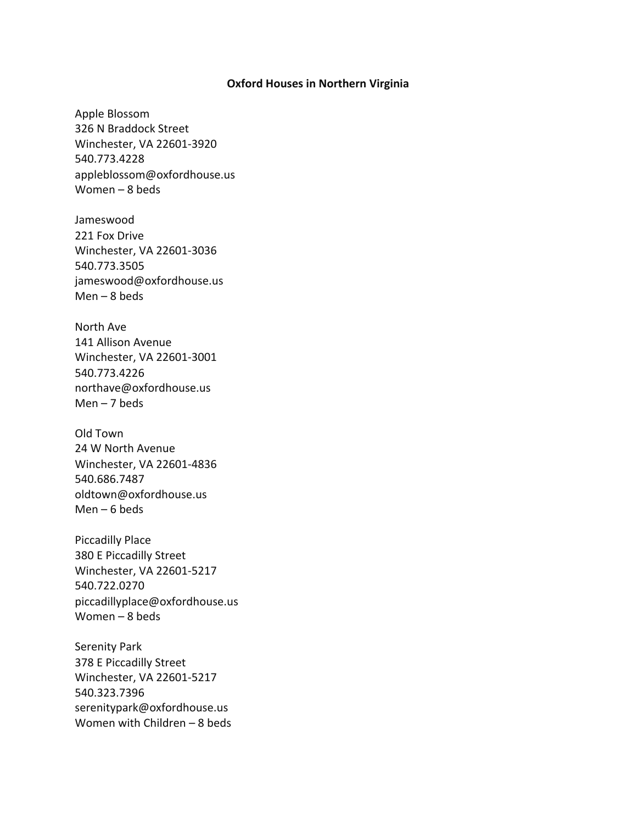## **Oxford Houses in Northern Virginia**

Apple Blossom 326 N Braddock Street Winchester, VA 22601-3920 540.773.4228 appleblossom@oxfordhouse.us Women – 8 beds

Jameswood 221 Fox Drive Winchester, VA 22601-3036 540.773.3505 jameswood@oxfordhouse.us Men  $-8$  beds

North Ave 141 Allison Avenue Winchester, VA 22601-3001 540.773.4226 northave@oxfordhouse.us Men – 7 beds

Old Town 24 W North Avenue Winchester, VA 22601-4836 540.686.7487 oldtown@oxfordhouse.us Men – 6 beds

Piccadilly Place 380 E Piccadilly Street Winchester, VA 22601-5217 540.722.0270 piccadillyplace@oxfordhouse.us Women – 8 beds

Serenity Park 378 E Piccadilly Street Winchester, VA 22601-5217 540.323.7396 serenitypark@oxfordhouse.us Women with Children – 8 beds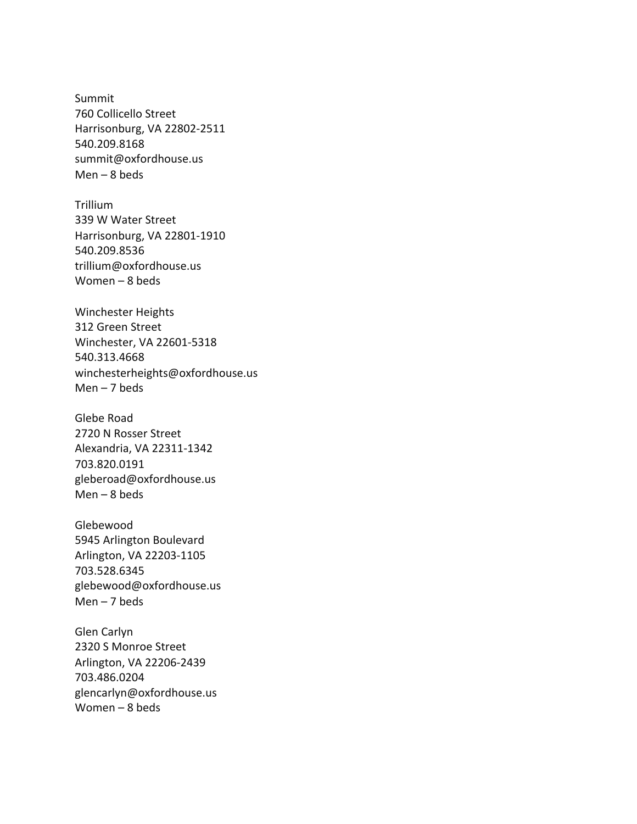Summit 760 Collicello Street Harrisonburg, VA 22802-2511 540.209.8168 summit@oxfordhouse.us Men  $-8$  beds

Trillium 339 W Water Street Harrisonburg, VA 22801-1910 540.209.8536 trillium@oxfordhouse.us Women – 8 beds

Winchester Heights 312 Green Street Winchester, VA 22601-5318 540.313.4668 winchesterheights@oxfordhouse.us Men  $-7$  beds

Glebe Road 2720 N Rosser Street Alexandria, VA 22311-1342 703.820.0191 gleberoad@oxfordhouse.us Men – 8 beds

Glebewood 5945 Arlington Boulevard Arlington, VA 22203-1105 703.528.6345 glebewood@oxfordhouse.us Men – 7 beds

Glen Carlyn 2320 S Monroe Street Arlington, VA 22206-2439 703.486.0204 glencarlyn@oxfordhouse.us Women – 8 beds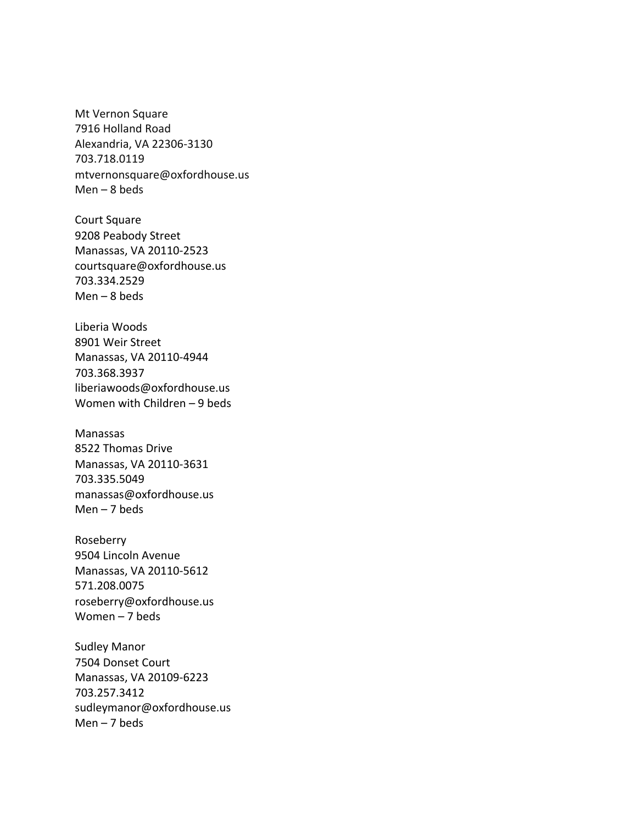Mt Vernon Square 7916 Holland Road Alexandria, VA 22306-3130 703.718.0119 mtvernonsquare@oxfordhouse.us Men  $-8$  beds

Court Square 9208 Peabody Street Manassas, VA 20110-2523 courtsquare@oxfordhouse.us 703.334.2529 Men – 8 beds

Liberia Woods 8901 Weir Street Manassas, VA 20110-4944 703.368.3937 liberiawoods@oxfordhouse.us Women with Children – 9 beds

Manassas 8522 Thomas Drive Manassas, VA 20110-3631 703.335.5049 manassas@oxfordhouse.us Men – 7 beds

Roseberry 9504 Lincoln Avenue Manassas, VA 20110-5612 571.208.0075 roseberry@oxfordhouse.us Women – 7 beds

Sudley Manor 7504 Donset Court Manassas, VA 20109-6223 703.257.3412 sudleymanor@oxfordhouse.us Men – 7 beds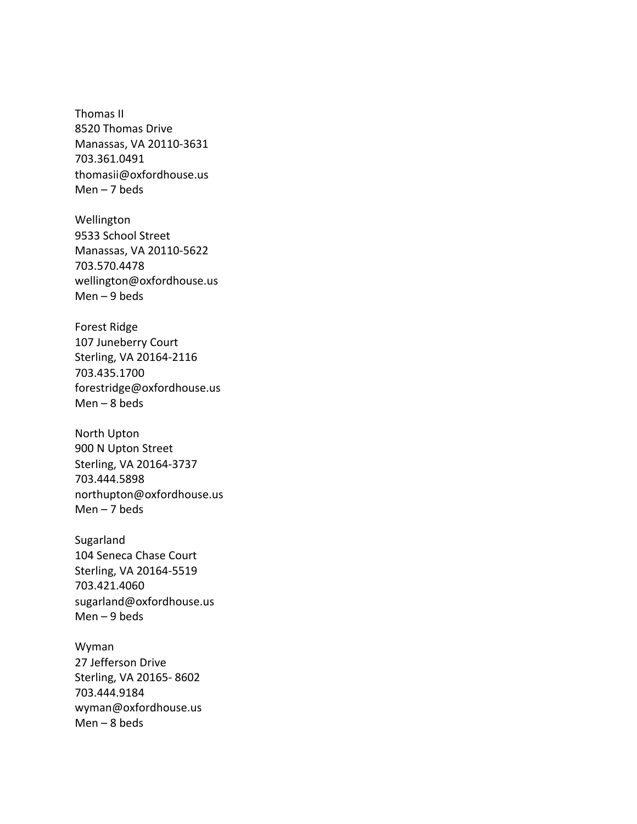Thomas II 8520 Thomas Drive Manassas, VA 20110-3631 703.361.0491 thomasii@oxfordhouse.us Men – 7 beds

Wellington 9533 School Street Manassas, VA 20110-5622 703.570.4478 wellington@oxfordhouse.us Men  $-9$  beds

Forest Ridge 107 Juneberry Court Sterling, VA 20164-2116 703.435.1700 forestridge@oxfordhouse.us Men – 8 beds

North Upton 900 N Upton Street Sterling, VA 20164-3737 703.444.5898 northupton@oxfordhouse.us Men – 7 beds

Sugarland 104 Seneca Chase Court Sterling, VA 20164-5519 703.421.4060 sugarland@oxfordhouse.us Men – 9 beds

Wyman 27 Jefferson Drive Sterling, VA 20165- 8602 703.444.9184 wyman@oxfordhouse.us Men – 8 beds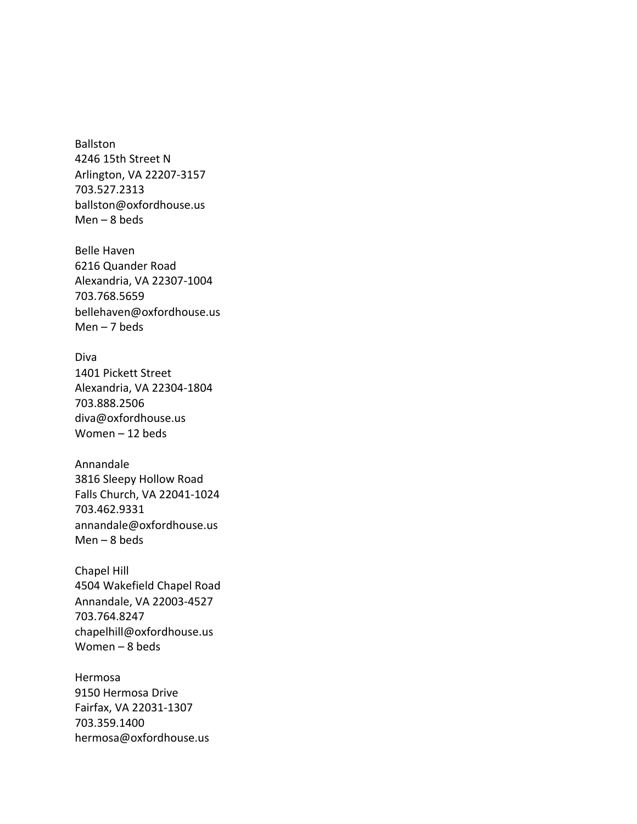Ballston 4246 15th Street N Arlington, VA 22207-3157 703.527.2313 ballston@oxfordhouse.us Men  $-8$  beds

Belle Haven 6216 Quander Road Alexandria, VA 22307-1004 703.768.5659 bellehaven@oxfordhouse.us Men – 7 beds

Diva 1401 Pickett Street Alexandria, VA 22304-1804 703.888.2506 diva@oxfordhouse.us Women – 12 beds

Annandale 3816 Sleepy Hollow Road Falls Church, VA 22041-1024 703.462.9331 annandale@oxfordhouse.us Men  $-8$  beds

Chapel Hill 4504 Wakefield Chapel Road Annandale, VA 22003-4527 703.764.8247 chapelhill@oxfordhouse.us Women – 8 beds

Hermosa 9150 Hermosa Drive Fairfax, VA 22031-1307 703.359.1400 hermosa@oxfordhouse.us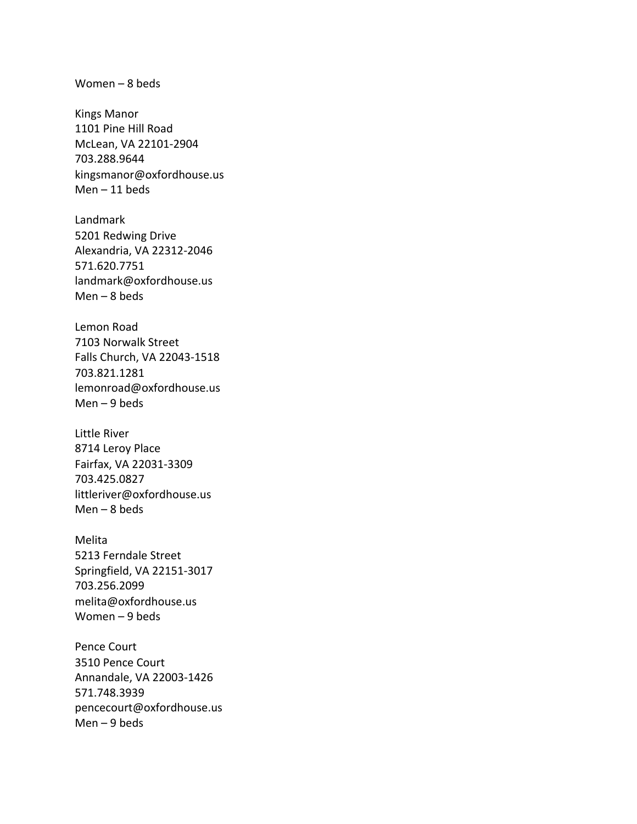Women – 8 beds

Kings Manor 1101 Pine Hill Road McLean, VA 22101-2904 703.288.9644 kingsmanor@oxfordhouse.us Men – 11 beds

Landmark 5201 Redwing Drive Alexandria, VA 22312-2046 571.620.7751 landmark@oxfordhouse.us Men – 8 beds

Lemon Road 7103 Norwalk Street Falls Church, VA 22043-1518 703.821.1281 lemonroad@oxfordhouse.us Men – 9 beds

Little River 8714 Leroy Place Fairfax, VA 22031-3309 703.425.0827 littleriver@oxfordhouse.us Men – 8 beds

Melita 5213 Ferndale Street Springfield, VA 22151-3017 703.256.2099 melita@oxfordhouse.us Women – 9 beds

Pence Court 3510 Pence Court Annandale, VA 22003-1426 571.748.3939 pencecourt@oxfordhouse.us Men – 9 beds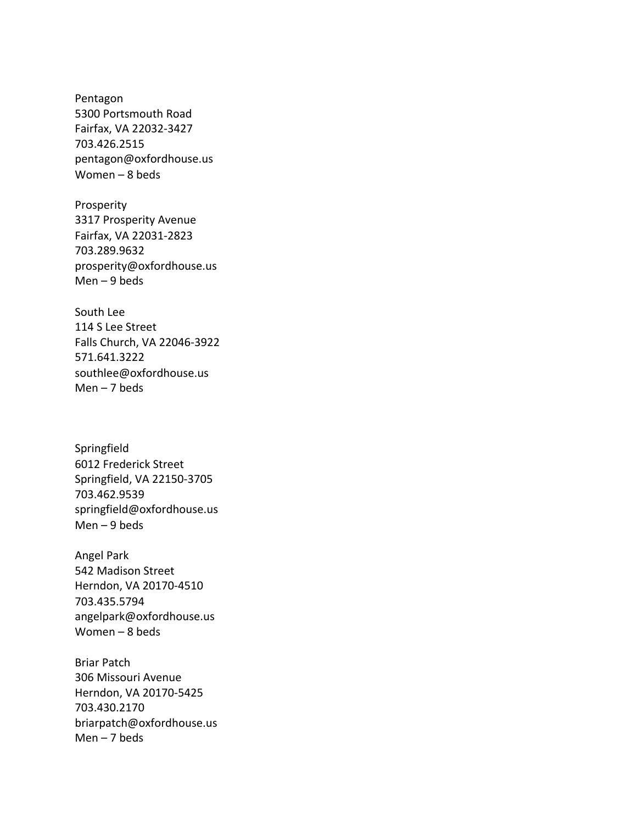Pentagon 5300 Portsmouth Road Fairfax, VA 22032-3427 703.426.2515 pentagon@oxfordhouse.us Women – 8 beds

Prosperity 3317 Prosperity Avenue Fairfax, VA 22031-2823 703.289.9632 prosperity@oxfordhouse.us Men – 9 beds

South Lee 114 S Lee Street Falls Church, VA 22046-3922 571.641.3222 southlee@oxfordhouse.us Men  $-7$  beds

Springfield 6012 Frederick Street Springfield, VA 22150-3705 703.462.9539 springfield@oxfordhouse.us Men  $-9$  beds

Angel Park 542 Madison Street Herndon, VA 20170-4510 703.435.5794 angelpark@oxfordhouse.us Women – 8 beds

Briar Patch 306 Missouri Avenue Herndon, VA 20170-5425 703.430.2170 briarpatch@oxfordhouse.us Men – 7 beds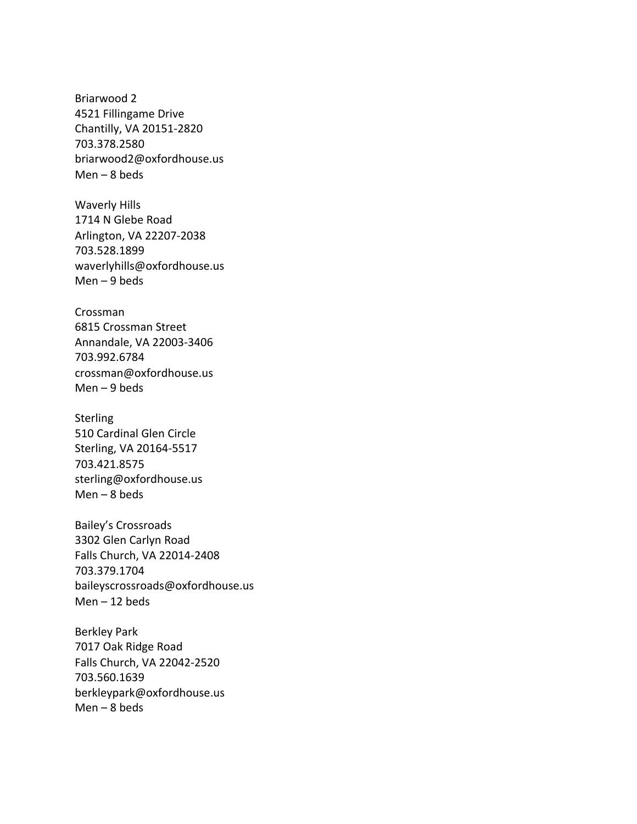Briarwood 2 4521 Fillingame Drive Chantilly, VA 20151-2820 703.378.2580 briarwood2@oxfordhouse.us Men  $-8$  beds

Waverly Hills 1714 N Glebe Road Arlington, VA 22207-2038 703.528.1899 waverlyhills@oxfordhouse.us Men  $-9$  beds

Crossman 6815 Crossman Street Annandale, VA 22003-3406 703.992.6784 crossman@oxfordhouse.us Men  $-9$  beds

**Sterling** 510 Cardinal Glen Circle Sterling, VA 20164-5517 703.421.8575 sterling@oxfordhouse.us Men  $-8$  beds

Bailey's Crossroads 3302 Glen Carlyn Road Falls Church, VA 22014-2408 703.379.1704 baileyscrossroads@oxfordhouse.us Men – 12 beds

Berkley Park 7017 Oak Ridge Road Falls Church, VA 22042-2520 703.560.1639 berkleypark@oxfordhouse.us Men  $-8$  beds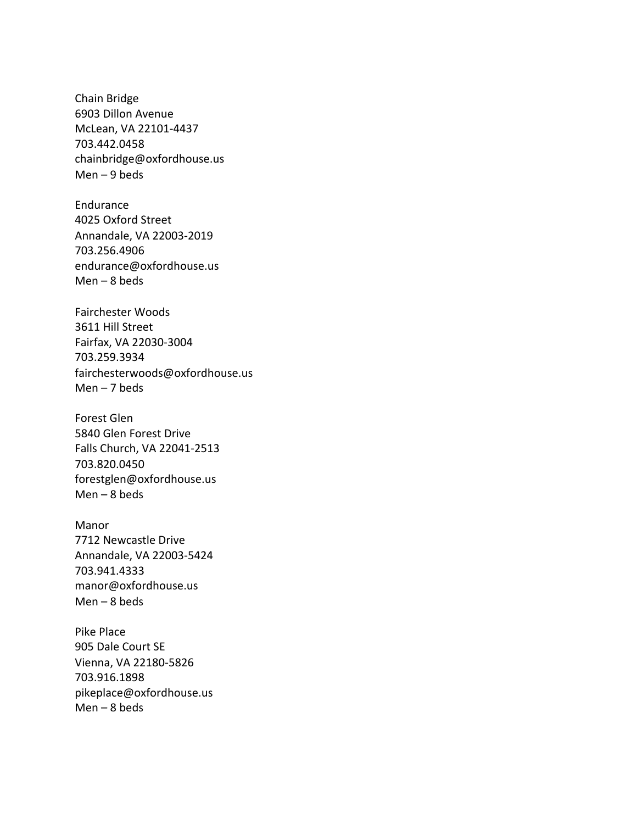Chain Bridge 6903 Dillon Avenue McLean, VA 22101-4437 703.442.0458 chainbridge@oxfordhouse.us Men – 9 beds

Endurance 4025 Oxford Street Annandale, VA 22003-2019 703.256.4906 endurance@oxfordhouse.us Men – 8 beds

Fairchester Woods 3611 Hill Street Fairfax, VA 22030-3004 703.259.3934 fairchesterwoods@oxfordhouse.us Men – 7 beds

Forest Glen 5840 Glen Forest Drive Falls Church, VA 22041-2513 703.820.0450 forestglen@oxfordhouse.us Men  $-8$  beds

Manor 7712 Newcastle Drive Annandale, VA 22003-5424 703.941.4333 manor@oxfordhouse.us Men – 8 beds

Pike Place 905 Dale Court SE Vienna, VA 22180-5826 703.916.1898 pikeplace@oxfordhouse.us Men – 8 beds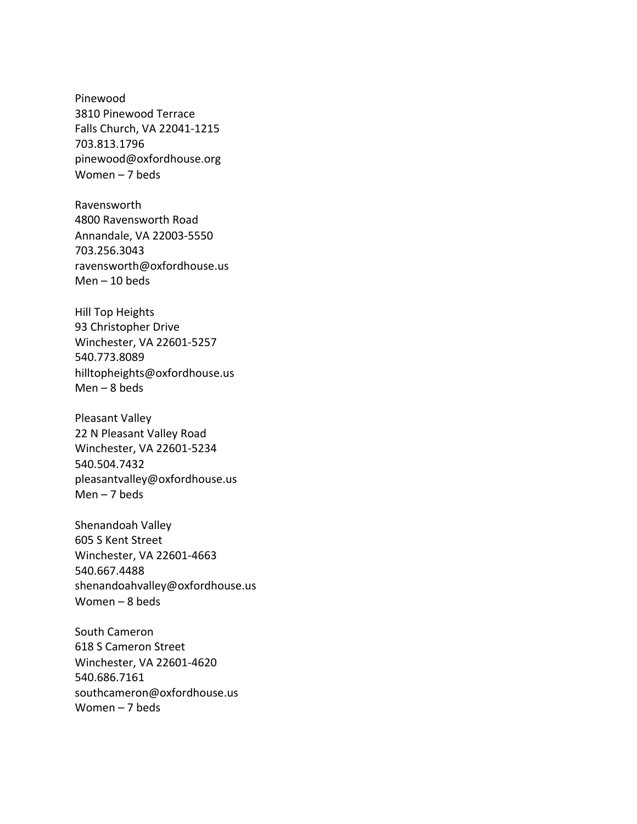Pinewood 3810 Pinewood Terrace Falls Church, VA 22041-1215 703.813.1796 pinewood@oxfordhouse.org Women – 7 beds

Ravensworth 4800 Ravensworth Road Annandale, VA 22003-5550 703.256.3043 ravensworth@oxfordhouse.us Men – 10 beds

Hill Top Heights 93 Christopher Drive Winchester, VA 22601-5257 540.773.8089 hilltopheights@oxfordhouse.us Men  $-8$  beds

Pleasant Valley 22 N Pleasant Valley Road Winchester, VA 22601-5234 540.504.7432 pleasantvalley@oxfordhouse.us Men  $-7$  beds

Shenandoah Valley 605 S Kent Street Winchester, VA 22601-4663 540.667.4488 shenandoahvalley@oxfordhouse.us Women – 8 beds

South Cameron 618 S Cameron Street Winchester, VA 22601-4620 540.686.7161 southcameron@oxfordhouse.us Women – 7 beds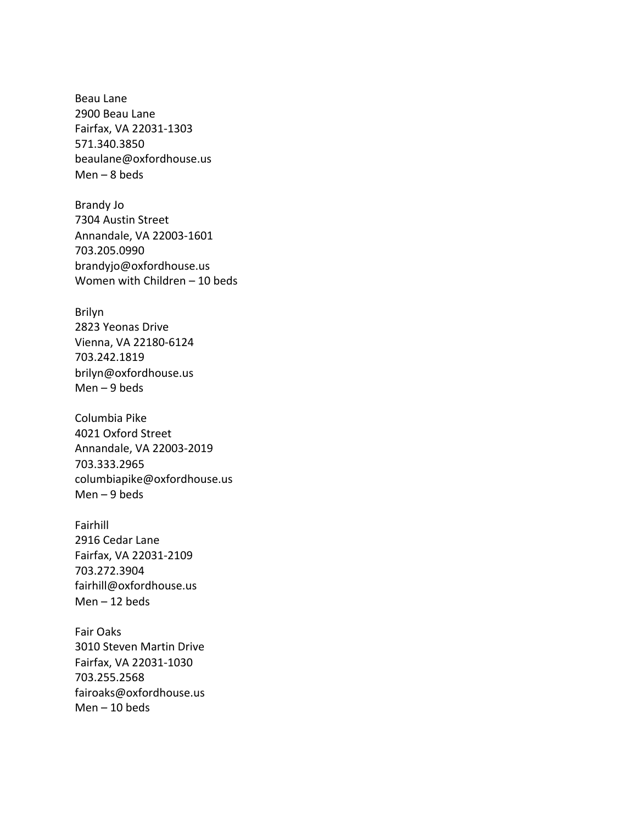Beau Lane 2900 Beau Lane Fairfax, VA 22031-1303 571.340.3850 beaulane@oxfordhouse.us Men – 8 beds

Brandy Jo 7304 Austin Street Annandale, VA 22003-1601 703.205.0990 brandyjo@oxfordhouse.us Women with Children – 10 beds

Brilyn 2823 Yeonas Drive Vienna, VA 22180-6124 703.242.1819 brilyn@oxfordhouse.us Men  $-9$  beds

Columbia Pike 4021 Oxford Street Annandale, VA 22003-2019 703.333.2965 columbiapike@oxfordhouse.us Men  $-9$  beds

Fairhill 2916 Cedar Lane Fairfax, VA 22031-2109 703.272.3904 fairhill@oxfordhouse.us Men – 12 beds

Fair Oaks 3010 Steven Martin Drive Fairfax, VA 22031-1030 703.255.2568 fairoaks@oxfordhouse.us Men – 10 beds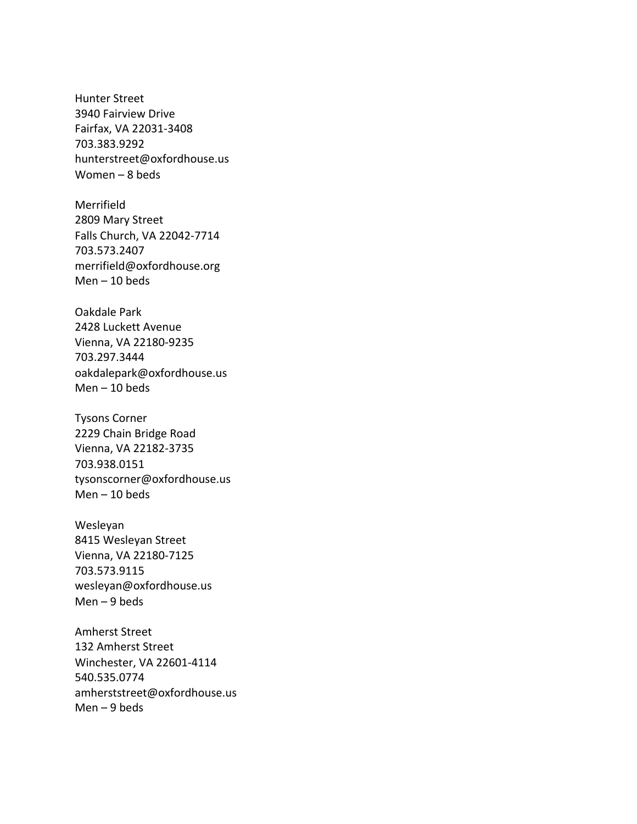Hunter Street 3940 Fairview Drive Fairfax, VA 22031-3408 703.383.9292 hunterstreet@oxfordhouse.us Women – 8 beds

Merrifield 2809 Mary Street Falls Church, VA 22042-7714 703.573.2407 merrifield@oxfordhouse.org Men – 10 beds

Oakdale Park 2428 Luckett Avenue Vienna, VA 22180-9235 703.297.3444 oakdalepark@oxfordhouse.us Men – 10 beds

Tysons Corner 2229 Chain Bridge Road Vienna, VA 22182-3735 703.938.0151 tysonscorner@oxfordhouse.us Men – 10 beds

Wesleyan 8415 Wesleyan Street Vienna, VA 22180-7125 703.573.9115 wesleyan@oxfordhouse.us Men – 9 beds

Amherst Street 132 Amherst Street Winchester, VA 22601-4114 540.535.0774 amherststreet@oxfordhouse.us Men – 9 beds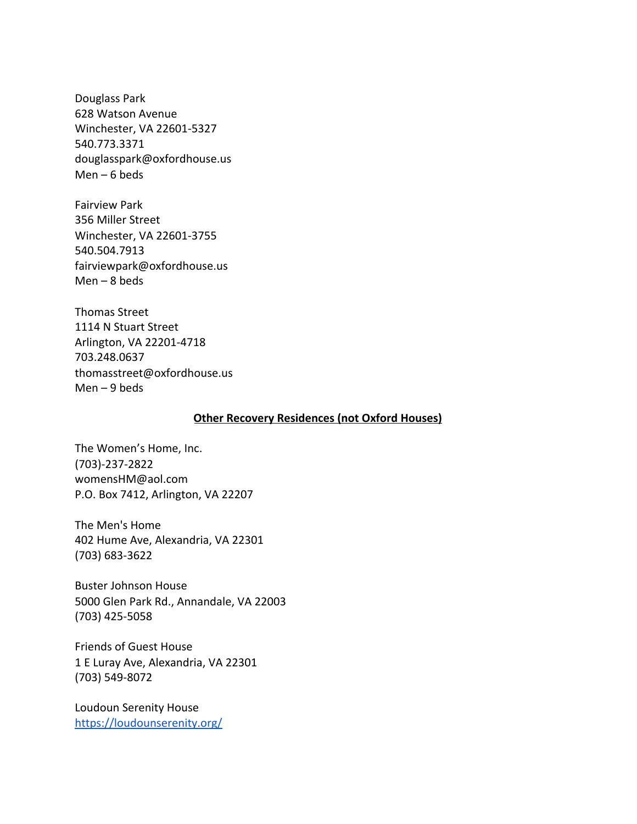Douglass Park 628 Watson Avenue Winchester, VA 22601-5327 540.773.3371 douglasspark@oxfordhouse.us Men  $-6$  beds

Fairview Park 356 Miller Street Winchester, VA 22601-3755 540.504.7913 fairviewpark@oxfordhouse.us Men  $-8$  beds

Thomas Street 1114 N Stuart Street Arlington, VA 22201-4718 703.248.0637 thomasstreet@oxfordhouse.us Men – 9 beds

## **Other Recovery Residences (not Oxford Houses)**

[The Women's Home, Inc.](http://www.thewomenshome.com/the-womens-home-inc-of-arlington-virginia-admission.html) (703)-237-2822 [womensHM@aol.com](mailto:womensHM@aol.com) P.O. Box 7412, Arlington, VA 22207

The Men's Home 402 Hume Ave, Alexandria, VA 22301 [\(703\) 683-3622](https://www.google.com/search?q=the+men%27s+home&rlz=1C5CHFA_enUS887US887&oq=the+men%27s+home&aqs=chrome..69i57j0l4.6093j1j4&sourceid=chrome&ie=UTF-8)

Buster Johnson House 5000 Glen Park Rd., Annandale, VA 22003 (703) 425-5058

Friends of Guest House 1 E Luray Ave, Alexandria, VA 22301 ([703\) 549-8072](https://www.google.com/search?rlz=1C5CHFA_enUS887US887&ei=VhOjXpPVLbCkytMPsO-WsAs&q=friends+of+guest+house&oq=friends+of+guest+house&gs_lcp=CgZwc3ktYWIQAzICCAAyAggAMgIIADICCAA6BQghEKsCOggIIRCgARCLAzoICCEQqwIQiwM6CAgAEIMBEJECOgUIABCRAjoFCAAQgwE6BAgAEEM6BwgAEIMBEEM6BggAEBYQHlDm9iZYlqInYNGkJ2gBcAB4AIABXogBjwqSAQIyMJgBAKABAaoBB2d3cy13aXq4AQI&sclient=psy-ab&ved=0ahUKEwiT2NmuvYHpAhUwknIEHbC3BbYQ4dUDCAw&uact=5)

Loudoun Serenity House <https://loudounserenity.org/>